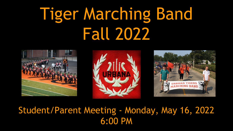## Tiger Marching Band Fall 2022







#### Student/Parent Meeting - Monday, May 16, 2022 6:00 PM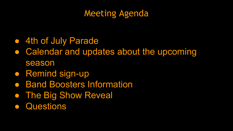#### Meeting Agenda

- 4th of July Parade
- Calendar and updates about the upcoming season
- Remind sign-up
- Band Boosters Information
- The Big Show Reveal
- Questions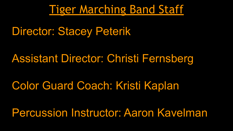**Tiger Marching Band Staff** 

Director: Stacey Peterik

Assistant Director: Christi Fernsberg

Color Guard Coach: Kristi Kaplan

Percussion Instructor: Aaron Kavelman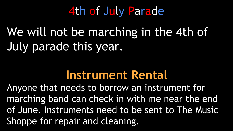### 4th of July Parade

### We will not be marching in the 4th of July parade this year.

#### **Instrument Rental**

Anyone that needs to borrow an instrument for marching band can check in with me near the end of June. Instruments need to be sent to The Music Shoppe for repair and cleaning.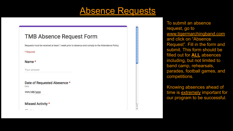#### Absence Requests

 $\overline{\mathbf{v}}$ 

#### **TMB Absence Request Form**

Requests must be received at least 1 week prior to absence and comply to the Attendance Policy.

#### \* Required

Name\*

Your answer

Date of Requested Abesence \* Date

mm/dd/yyyy

#### Missed Activity \*

 $\sim$   $\sim$ 

To submit an absence request, go to [www.tigermarchingband.com](http://www.tigermarchingband.com) and click on "Absence Request". Fill in the form and submit. This form should be filled out for **ALL** absences including, but not limited to band camp, rehearsals, parades, football games, and competitions.

Knowing absences ahead of time is **extremely** important for our program to be successful.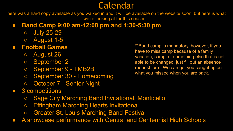#### **Calendar**

There was a hard copy available as you walked in and it will be available on the website soon, but here is what we're looking at for this season:

#### ● **Band Camp 9:00 am-12:00 pm and 1:30-5:30 pm**

- July 25-29
- August 1-5

#### **● Football Games**

- August 26
- September 2
- September 9 TMB2B
- September 30 Homecoming
- October 7 Senior Night
- 3 competitions
	- Sage City Marching Band Invitational, Monticello
	- Effingham Marching Hearts Invitational
	- Greater St. Louis Marching Band Festival
- A showcase performance with Central and Centennial High Schools

\*\*Band camp is mandatory, however, if you have to miss camp because of a family vacation, camp, or something else that is not able to be changed, just fill out an absence request form. We can get you caught up on what you missed when you are back.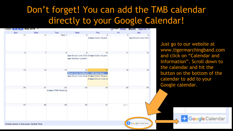#### Don't forget! You can add the TMB calendar directly to your Google Calendar!

| Sun | Mon | Tue                | Wed                                         | Thu                | Fri   | Sat                 |
|-----|-----|--------------------|---------------------------------------------|--------------------|-------|---------------------|
| 29  | 30  | May 1              | $\overline{2}$                              | 3                  | 4     | 5                   |
|     |     |                    |                                             | 3:45pm Color Guard |       | 1pm Drum Line Clini |
| 6   |     | 8                  | 9<br>3pm Drum Line Clini 3:16pm Color Guard | 10                 | 11    | 12                  |
|     |     |                    | <b>3pm Section Leader</b>                   |                    |       |                     |
| 13  | 14  | 15                 | 16                                          | 17                 | 18    | 19                  |
|     |     |                    | Drum Line Auditions - UHS Band Room         |                    |       |                     |
|     |     |                    | 3pm Drum Line Audi 3:16pm Color Guard       | 3:30pm Drum Line A |       |                     |
|     |     |                    |                                             |                    |       |                     |
| 20  | 21  | 22                 | 23                                          | 24                 | 25    | 26                  |
|     |     | 5:30pm TMB Meeting |                                             |                    |       |                     |
|     |     |                    |                                             |                    |       |                     |
| 27  | 28  | 29                 | 30                                          | 31                 | Jun 1 |                     |
|     |     |                    |                                             |                    |       |                     |
|     |     |                    |                                             |                    |       |                     |

Just go to our website at www.tigermarchingband.com and click on "Calendar and Information". Scroll down to the calendar and hit the button on the bottom of the calendar to add to your Google calendar.

Google Calendar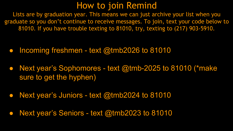#### How to join Remind

Lists are by graduation year. This means we can just archive your list when you graduate so you don't continue to receive messages. To join, text your code below to 81010. If you have trouble texting to 81010, try, texting to (217) 903-5910.

- Incoming freshmen text @tmb2026 to 81010
- Next year's Sophomores text @tmb-2025 to 81010 (\*make sure to get the hyphen)
- Next year's Juniors text @tmb2024 to 81010
- Next year's Seniors text @tmb2023 to 81010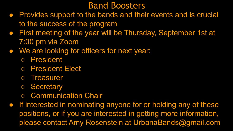#### Band Boosters

- Provides support to the bands and their events and is crucial to the success of the program
- First meeting of the year will be Thursday, September 1st at 7:00 pm via Zoom
- We are looking for officers for next year:
	- President
	- President Elect
	- Treasurer
	- Secretary
	- Communication Chair
- If interested in nominating anyone for or holding any of these positions, or if you are interested in getting more information, please contact Amy Rosenstein at UrbanaBands@gmail.com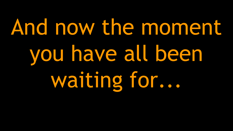# And now the moment you have all been waiting for...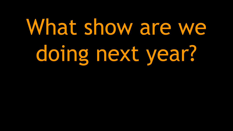# What show are we doing next year?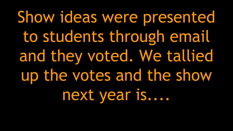Show ideas were presented to students through email and they voted. We tallied up the votes and the show next year is....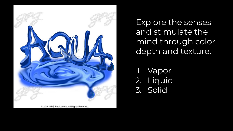

Explore the senses and stimulate the mind through color, depth and texture.

- 1. Vapor
- 2. Liquid
- 3. Solid

© 2014 GPG Publications. All Rights Reserved.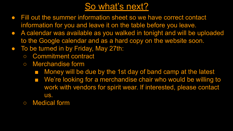#### So what's next?

- Fill out the summer information sheet so we have correct contact information for you and leave it on the table before you leave.
- A calendar was available as you walked in tonight and will be uploaded to the Google calendar and as a hard copy on the website soon.
- To be turned in by Friday, May 27th:
	- Commitment contract
	- Merchandise form
		- Money will be due by the 1st day of band camp at the latest
		- We're looking for a merchandise chair who would be willing to work with vendors for spirit wear. If interested, please contact us.
	- Medical form